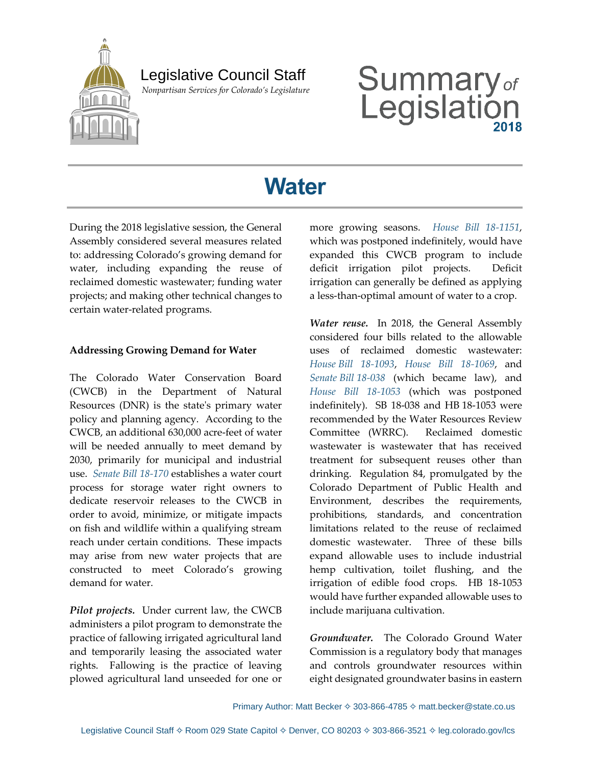

## Legislative Council Staff

 *Nonpartisan Services for Colorado's Legislature*

# Summary<sub>of</sub><br>Legislation

# **Water**

During the 2018 legislative session, the General Assembly considered several measures related to: addressing Colorado's growing demand for water, including expanding the reuse of reclaimed domestic wastewater; funding water projects; and making other technical changes to certain water-related programs.

#### **Addressing Growing Demand for Water**

The Colorado Water Conservation Board (CWCB) in the Department of Natural Resources (DNR) is the state's primary water policy and planning agency. According to the CWCB, an additional 630,000 acre-feet of water will be needed annually to meet demand by 2030, primarily for municipal and industrial use. *[Senate Bill 18-170](http://leg.colorado.gov/bills/sb18-170)* establishes a water court process for storage water right owners to dedicate reservoir releases to the CWCB in order to avoid, minimize, or mitigate impacts on fish and wildlife within a qualifying stream reach under certain conditions. These impacts may arise from new water projects that are constructed to meet Colorado's growing demand for water.

*Pilot projects.* Under current law, the CWCB administers a pilot program to demonstrate the practice of fallowing irrigated agricultural land and temporarily leasing the associated water rights. Fallowing is the practice of leaving plowed agricultural land unseeded for one or more growing seasons. *[House Bill 18-1151](http://leg.colorado.gov/bills/hb18-1151)*, which was postponed indefinitely, would have expanded this CWCB program to include deficit irrigation pilot projects. Deficit irrigation can generally be defined as applying a less-than-optimal amount of water to a crop.

*Water reuse.* In 2018, the General Assembly considered four bills related to the allowable uses of reclaimed domestic wastewater: *House [Bill 18-1093](http://leg.colorado.gov/bills/hb18-1093)*, *[House Bill 18-1069](http://leg.colorado.gov/bills/hb18-1069)*, and *Senate Bill [18-038](http://leg.colorado.gov/bills/sb18-038)* (which became law), and *[House Bill 18-1053](http://leg.colorado.gov/bills/hb18-1053)* (which was postponed indefinitely). SB 18-038 and HB 18-1053 were recommended by the Water Resources Review Committee (WRRC). Reclaimed domestic wastewater is wastewater that has received treatment for subsequent reuses other than drinking. Regulation 84, promulgated by the Colorado Department of Public Health and Environment, describes the requirements, prohibitions, standards, and concentration limitations related to the reuse of reclaimed domestic wastewater. Three of these bills expand allowable uses to include industrial hemp cultivation, toilet flushing, and the irrigation of edible food crops. HB 18-1053 would have further expanded allowable uses to include marijuana cultivation.

*Groundwater.* The Colorado Ground Water Commission is a regulatory body that manages and controls groundwater resources within eight designated groundwater basins in eastern